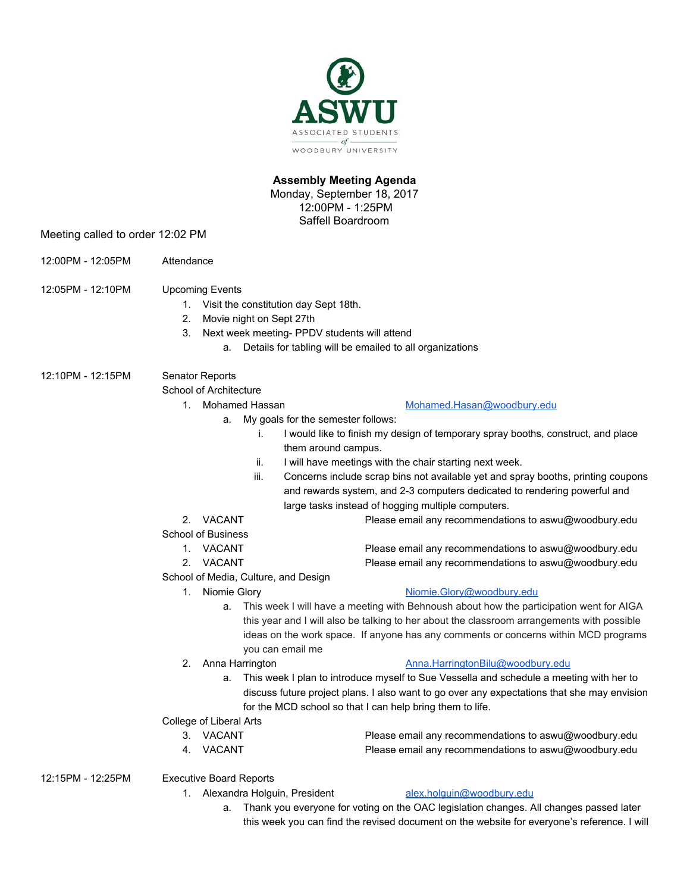

## **Assembly Meeting Agenda**

Monday, September 18, 2017 12:00PM - 1:25PM Saffell Boardroom

Meeting called to order 12:02 PM

- 12:00PM 12:05PM Attendance
- 12:05PM 12:10PM Upcoming Events
	- 1. Visit the constitution day Sept 18th.
	- 2. Movie night on Sept 27th
	- 3. Next week meeting- PPDV students will attend
		- a. Details for tabling will be emailed to all organizations

12:10PM - 12:15PM Senator Reports

School of Architecture

- 
- 1. Mohamed Hassan [Mohamed.Hasan@woodbury.edu](mailto:Mohamed.Hasan@woodbury.edu)
	- a. My goals for the semester follows:
		- i. I would like to finish my design of temporary spray booths, construct, and place them around campus.
		- ii. I will have meetings with the chair starting next week.
		- iii. Concerns include scrap bins not available yet and spray booths, printing coupons and rewards system, and 2-3 computers dedicated to rendering powerful and large tasks instead of hogging multiple computers.
- 2. VACANT Please email any recommendations to aswu@woodbury.edu
- School of Business
	- 1. VACANT Please email any recommendations to aswu@woodbury.edu
	- 2. VACANT Please email any recommendations to aswu@woodbury.edu
- School of Media, Culture, and Design
	-

### 1. Niomie Glory **[Niomie.Glory@woodbury.edu](mailto:Niomie.Glory@woodbury.edu)**

- a. This week I will have a meeting with Behnoush about how the participation went for AIGA this year and I will also be talking to her about the classroom arrangements with possible ideas on the work space. If anyone has any comments or concerns within MCD programs you can email me
- 

## 2. Anna Harrington **[Anna.HarringtonBilu@woodbury.edu](mailto:Anna.HarringtonBilu@woodbury.edu)**

a. This week I plan to introduce myself to Sue Vessella and schedule a meeting with her to discuss future project plans. I also want to go over any expectations that she may envision for the MCD school so that I can help bring them to life.

College of Liberal Arts

- 3. VACANT Please email any recommendations to aswu@woodbury.edu
- 4. VACANT Please email any recommendations to aswu@woodbury.edu
- 12:15PM 12:25PM Executive Board Reports
	- 1. Alexandra Holguin, President [alex.holguin@woodbury.edu](mailto:alex.holguin@woodbury.edu)

a. Thank you everyone for voting on the OAC legislation changes. All changes passed later this week you can find the revised document on the website for everyone's reference. I will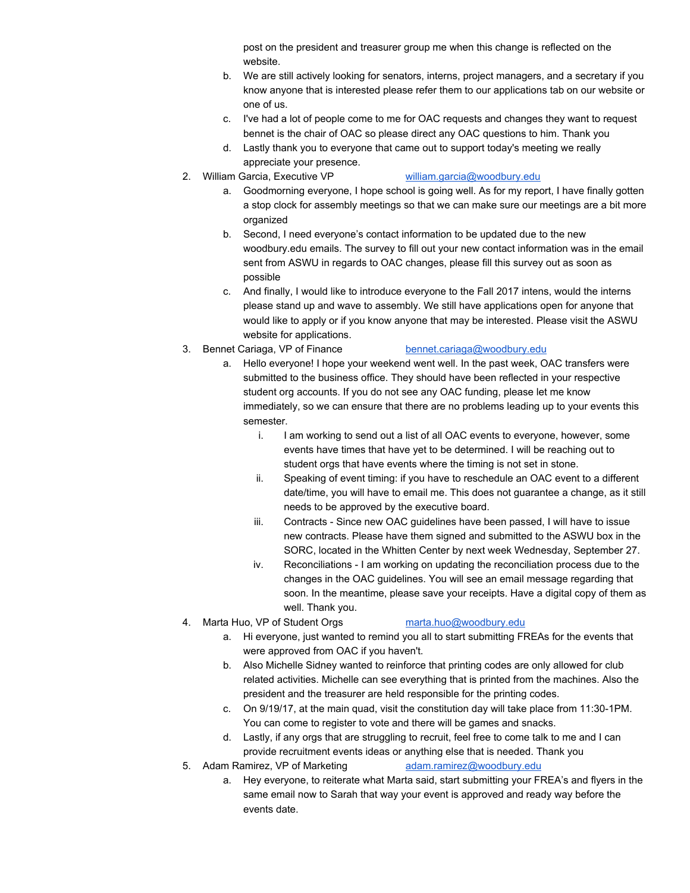post on the president and treasurer group me when this change is reflected on the website.

- b. We are still actively looking for senators, interns, project managers, and a secretary if you know anyone that is interested please refer them to our applications tab on our website or one of us.
- c. I've had a lot of people come to me for OAC requests and changes they want to request bennet is the chair of OAC so please direct any OAC questions to him. Thank you
- d. Lastly thank you to everyone that came out to support today's meeting we really appreciate your presence.
- 2. William Garcia, Executive VP [william.garcia@woodbury.edu](mailto:william.garcia@woodbury.edu)

- a. Goodmorning everyone, I hope school is going well. As for my report, I have finally gotten a stop clock for assembly meetings so that we can make sure our meetings are a bit more organized
- b. Second, I need everyone's contact information to be updated due to the new woodbury.edu emails. The survey to fill out your new contact information was in the email sent from ASWU in regards to OAC changes, please fill this survey out as soon as possible
- c. And finally, I would like to introduce everyone to the Fall 2017 intens, would the interns please stand up and wave to assembly. We still have applications open for anyone that would like to apply or if you know anyone that may be interested. Please visit the ASWU website for applications.
- 3. Bennet Cariaga, VP of Finance [bennet.cariaga@woodbury.edu](mailto:bennet.cariaga@woodbury.edu)

- a. Hello everyone! I hope your weekend went well. In the past week, OAC transfers were submitted to the business office. They should have been reflected in your respective student org accounts. If you do not see any OAC funding, please let me know immediately, so we can ensure that there are no problems leading up to your events this semester.
	- i. I am working to send out a list of all OAC events to everyone, however, some events have times that have yet to be determined. I will be reaching out to student orgs that have events where the timing is not set in stone.
	- ii. Speaking of event timing: if you have to reschedule an OAC event to a different date/time, you will have to email me. This does not guarantee a change, as it still needs to be approved by the executive board.
	- iii. Contracts Since new OAC guidelines have been passed, I will have to issue new contracts. Please have them signed and submitted to the ASWU box in the SORC, located in the Whitten Center by next week Wednesday, September 27.
	- iv. Reconciliations I am working on updating the reconciliation process due to the changes in the OAC guidelines. You will see an email message regarding that soon. In the meantime, please save your receipts. Have a digital copy of them as well. Thank you.
- 4. Marta Huo, VP of Student Orgs [marta.huo@woodbury.edu](mailto:marta.huo@woodbury.edu)

- a. Hi everyone, just wanted to remind you all to start submitting FREAs for the events that were approved from OAC if you haven't.
- b. Also Michelle Sidney wanted to reinforce that printing codes are only allowed for club related activities. Michelle can see everything that is printed from the machines. Also the president and the treasurer are held responsible for the printing codes.
- c. On 9/19/17, at the main quad, visit the constitution day will take place from 11:30-1PM. You can come to register to vote and there will be games and snacks.
- d. Lastly, if any orgs that are struggling to recruit, feel free to come talk to me and I can provide recruitment events ideas or anything else that is needed. Thank you
- 5. Adam Ramirez, VP of Marketing [adam.ramirez@woodbury.edu](mailto:adam.ramirez@woodbury.edu)
	- a. Hey everyone, to reiterate what Marta said, start submitting your FREA's and flyers in the same email now to Sarah that way your event is approved and ready way before the events date.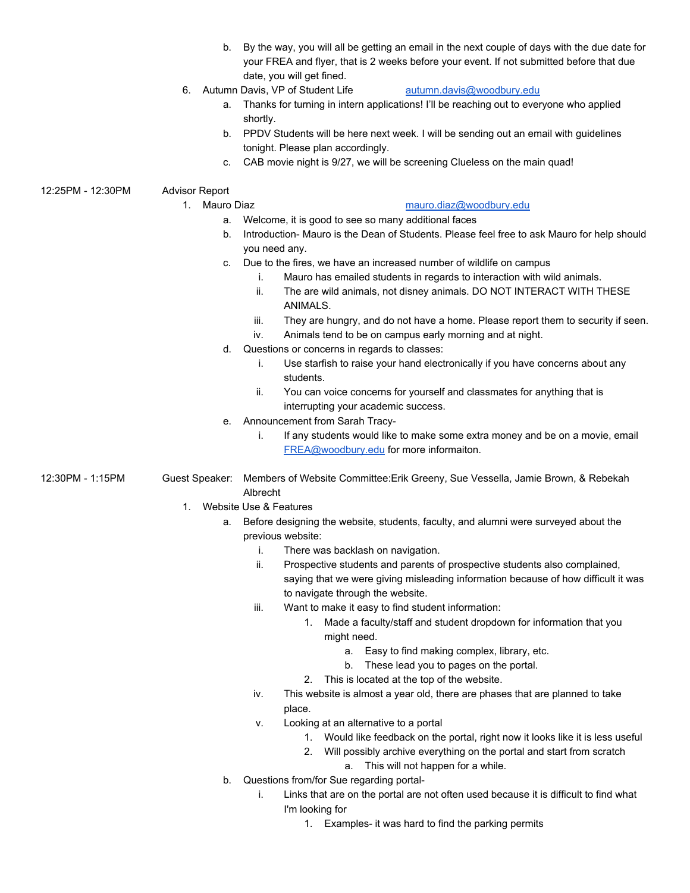- b. By the way, you will all be getting an email in the next couple of days with the due date for your FREA and flyer, that is 2 weeks before your event. If not submitted before that due date, you will get fined.
- 6. Autumn Davis, VP of Student Life [autumn.davis@woodbury.edu](mailto:autumn.davis@woodbury.edu)

- a. Thanks for turning in intern applications! I'll be reaching out to everyone who applied shortly.
- b. PPDV Students will be here next week. I will be sending out an email with guidelines tonight. Please plan accordingly.
- c. CAB movie night is 9/27, we will be screening Clueless on the main quad!
- 

# 12:25PM - 12:30PM Advisor Report

1. Mauro Diaz [mauro.diaz@woodbury.edu](mailto:mauro.diaz@woodbury.edu)

- a. Welcome, it is good to see so many additional faces
- b. Introduction- Mauro is the Dean of Students. Please feel free to ask Mauro for help should you need any.
- c. Due to the fires, we have an increased number of wildlife on campus
	- i. Mauro has emailed students in regards to interaction with wild animals.
	- ii. The are wild animals, not disney animals. DO NOT INTERACT WITH THESE ANIMALS.
	- iii. They are hungry, and do not have a home. Please report them to security if seen.
	- iv. Animals tend to be on campus early morning and at night.
- d. Questions or concerns in regards to classes:
	- i. Use starfish to raise your hand electronically if you have concerns about any students.
	- ii. You can voice concerns for yourself and classmates for anything that is interrupting your academic success.
- e. Announcement from Sarah Tracy
	- i. If any students would like to make some extra money and be on a movie, email [FREA@woodbury.edu](mailto:FREA@woodbury.edu) for more informaiton.
- 12:30PM 1:15PM Guest Speaker: Members of Website Committee:Erik Greeny, Sue Vessella, Jamie Brown, & Rebekah Albrecht
	- 1. Website Use & Features
		- a. Before designing the website, students, faculty, and alumni were surveyed about the previous website:
			- i. There was backlash on navigation.
			- ii. Prospective students and parents of prospective students also complained, saying that we were giving misleading information because of how difficult it was to navigate through the website.
			- iii. Want to make it easy to find student information:
				- 1. Made a faculty/staff and student dropdown for information that you might need.
					- a. Easy to find making complex, library, etc.
					- b. These lead you to pages on the portal.
				- 2. This is located at the top of the website.
			- iv. This website is almost a year old, there are phases that are planned to take place.
			- v. Looking at an alternative to a portal
				- 1. Would like feedback on the portal, right now it looks like it is less useful
				- 2. Will possibly archive everything on the portal and start from scratch a. This will not happen for a while.
		- b. Questions from/for Sue regarding portal
			- i. Links that are on the portal are not often used because it is difficult to find what I'm looking for
				- 1. Examples- it was hard to find the parking permits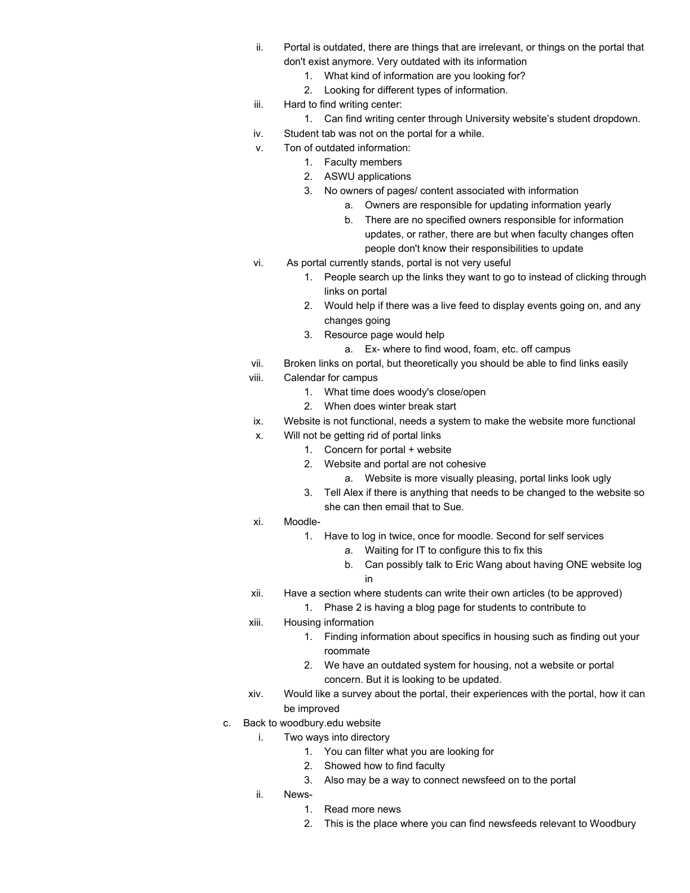- ii. Portal is outdated, there are things that are irrelevant, or things on the portal that don't exist anymore. Very outdated with its information
	- 1. What kind of information are you looking for?
	- 2. Looking for different types of information.
- iii. Hard to find writing center:
	- 1. Can find writing center through University website's student dropdown.
- iv. Student tab was not on the portal for a while.
- v. Ton of outdated information:
	- 1. Faculty members
		- 2. ASWU applications
		- 3. No owners of pages/ content associated with information
			- a. Owners are responsible for updating information yearly
			- b. There are no specified owners responsible for information updates, or rather, there are but when faculty changes often people don't know their responsibilities to update
- vi. As portal currently stands, portal is not very useful
	- 1. People search up the links they want to go to instead of clicking through links on portal
	- 2. Would help if there was a live feed to display events going on, and any changes going
	- 3. Resource page would help
		- a. Ex- where to find wood, foam, etc. off campus
- vii. Broken links on portal, but theoretically you should be able to find links easily
- viii. Calendar for campus
	- 1. What time does woody's close/open
	- 2. When does winter break start
	- ix. Website is not functional, needs a system to make the website more functional
	- x. Will not be getting rid of portal links
		- 1. Concern for portal + website
		- 2. Website and portal are not cohesive
			- a. Website is more visually pleasing, portal links look ugly
		- 3. Tell Alex if there is anything that needs to be changed to the website so she can then email that to Sue.
- xi. Moodle-
	- 1. Have to log in twice, once for moodle. Second for self services
		- a. Waiting for IT to configure this to fix this
		- b. Can possibly talk to Eric Wang about having ONE website log in
- xii. Have a section where students can write their own articles (to be approved)
	- 1. Phase 2 is having a blog page for students to contribute to
- xiii. Housing information
	- 1. Finding information about specifics in housing such as finding out your roommate
	- 2. We have an outdated system for housing, not a website or portal concern. But it is looking to be updated.
- xiv. Would like a survey about the portal, their experiences with the portal, how it can be improved
- c. Back to woodbury.edu website
	- i. Two ways into directory
		- 1. You can filter what you are looking for
		- 2. Showed how to find faculty
		- 3. Also may be a way to connect newsfeed on to the portal
	- ii. News-
		- 1. Read more news
		- 2. This is the place where you can find newsfeeds relevant to Woodbury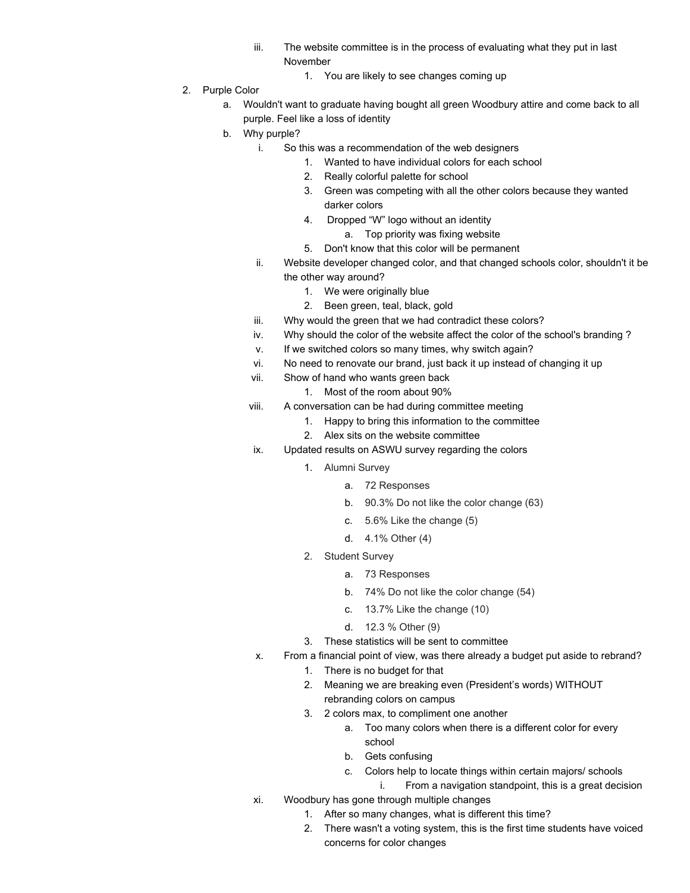- iii. The website committee is in the process of evaluating what they put in last November
	- 1. You are likely to see changes coming up
- 2. Purple Color
	- a. Wouldn't want to graduate having bought all green Woodbury attire and come back to all purple. Feel like a loss of identity
	- b. Why purple?
		- i. So this was a recommendation of the web designers
			- 1. Wanted to have individual colors for each school
			- 2. Really colorful palette for school
			- 3. Green was competing with all the other colors because they wanted darker colors
			- 4. Dropped "W" logo without an identity
				- a. Top priority was fixing website
			- 5. Don't know that this color will be permanent
		- ii. Website developer changed color, and that changed schools color, shouldn't it be the other way around?
			- 1. We were originally blue
			- 2. Been green, teal, black, gold
		- iii. Why would the green that we had contradict these colors?
		- iv. Why should the color of the website affect the color of the school's branding ?
		- v. If we switched colors so many times, why switch again?
		- vi. No need to renovate our brand, just back it up instead of changing it up
		- vii. Show of hand who wants green back
			- 1. Most of the room about 90%
		- viii. A conversation can be had during committee meeting
			- 1. Happy to bring this information to the committee
			- 2. Alex sits on the website committee
		- ix. Updated results on ASWU survey regarding the colors
			- 1. Alumni Survey
				- a. 72 Responses
				- b. 90.3% Do not like the color change (63)
				- c. 5.6% Like the change (5)
				- d. 4.1% Other (4)
			- 2. Student Survey
				- a. 73 Responses
				- b. 74% Do not like the color change (54)
				- c. 13.7% Like the change (10)
				- d. 12.3 % Other (9)
			- 3. These statistics will be sent to committee
		- x. From a financial point of view, was there already a budget put aside to rebrand?
			- 1. There is no budget for that
			- 2. Meaning we are breaking even (President's words) WITHOUT rebranding colors on campus
			- 3. 2 colors max, to compliment one another
				- a. Too many colors when there is a different color for every school
				- b. Gets confusing
				- c. Colors help to locate things within certain majors/ schools
					- i. From a navigation standpoint, this is a great decision
		- xi. Woodbury has gone through multiple changes
			- 1. After so many changes, what is different this time?
			- 2. There wasn't a voting system, this is the first time students have voiced concerns for color changes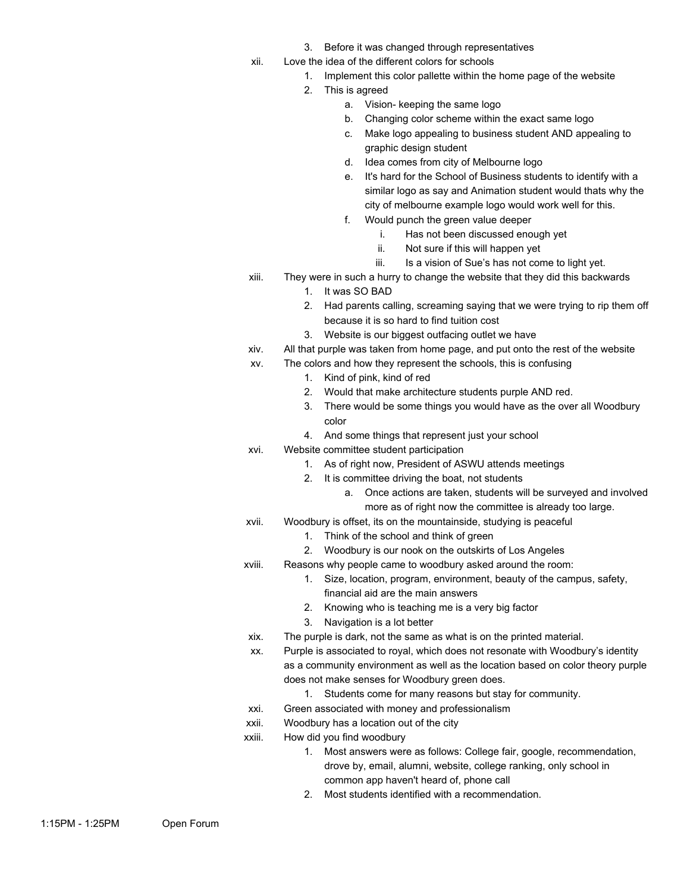- 3. Before it was changed through representatives
- xii. Love the idea of the different colors for schools
	- 1. Implement this color pallette within the home page of the website
	- 2. This is agreed
		- a. Vision- keeping the same logo
		- b. Changing color scheme within the exact same logo
		- c. Make logo appealing to business student AND appealing to graphic design student
		- d. Idea comes from city of Melbourne logo
		- e. It's hard for the School of Business students to identify with a similar logo as say and Animation student would thats why the city of melbourne example logo would work well for this.
		- f. Would punch the green value deeper
			- i. Has not been discussed enough yet
			- ii. Not sure if this will happen yet
			- iii. Is a vision of Sue's has not come to light yet.
- xiii. They were in such a hurry to change the website that they did this backwards
	- 1. It was SO BAD
		- 2. Had parents calling, screaming saying that we were trying to rip them off because it is so hard to find tuition cost
		- 3. Website is our biggest outfacing outlet we have
- xiv. All that purple was taken from home page, and put onto the rest of the website
- xv. The colors and how they represent the schools, this is confusing
	- 1. Kind of pink, kind of red
	- 2. Would that make architecture students purple AND red.
	- 3. There would be some things you would have as the over all Woodbury color
	- 4. And some things that represent just your school
- xvi. Website committee student participation
	- 1. As of right now, President of ASWU attends meetings
	- 2. It is committee driving the boat, not students
		- a. Once actions are taken, students will be surveyed and involved more as of right now the committee is already too large.
- xvii. Woodbury is offset, its on the mountainside, studying is peaceful
	- 1. Think of the school and think of green
	- 2. Woodbury is our nook on the outskirts of Los Angeles
- xviii. Reasons why people came to woodbury asked around the room:
	- 1. Size, location, program, environment, beauty of the campus, safety, financial aid are the main answers
	- 2. Knowing who is teaching me is a very big factor
	- 3. Navigation is a lot better
	- xix. The purple is dark, not the same as what is on the printed material.
	- xx. Purple is associated to royal, which does not resonate with Woodbury's identity as a community environment as well as the location based on color theory purple does not make senses for Woodbury green does.
		- 1. Students come for many reasons but stay for community.
- xxi. Green associated with money and professionalism
- xxii. Woodbury has a location out of the city
- xxiii. How did you find woodbury
	- 1. Most answers were as follows: College fair, google, recommendation, drove by, email, alumni, website, college ranking, only school in common app haven't heard of, phone call
	- 2. Most students identified with a recommendation.